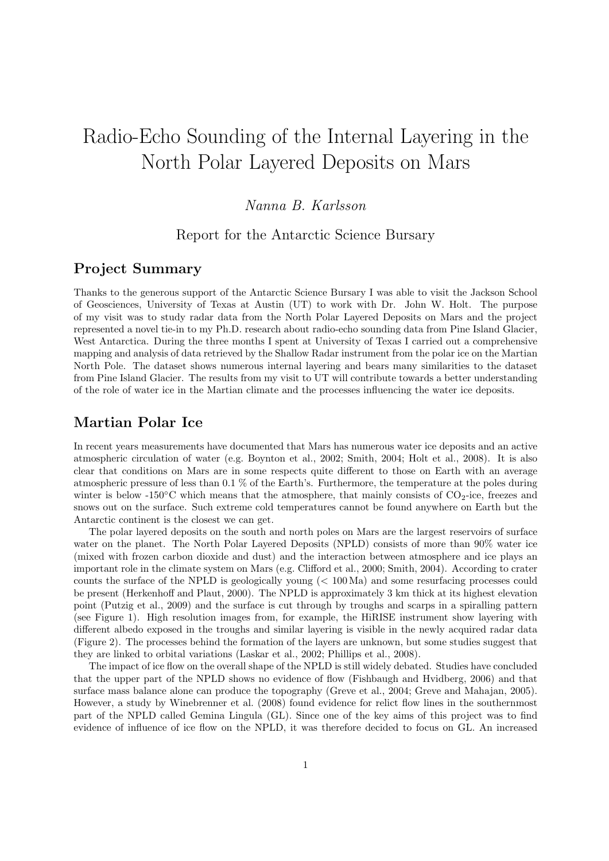# Radio-Echo Sounding of the Internal Layering in the North Polar Layered Deposits on Mars

## Nanna B. Karlsson

### Report for the Antarctic Science Bursary

## Project Summary

Thanks to the generous support of the Antarctic Science Bursary I was able to visit the Jackson School of Geosciences, University of Texas at Austin (UT) to work with Dr. John W. Holt. The purpose of my visit was to study radar data from the North Polar Layered Deposits on Mars and the project represented a novel tie-in to my Ph.D. research about radio-echo sounding data from Pine Island Glacier, West Antarctica. During the three months I spent at University of Texas I carried out a comprehensive mapping and analysis of data retrieved by the Shallow Radar instrument from the polar ice on the Martian North Pole. The dataset shows numerous internal layering and bears many similarities to the dataset from Pine Island Glacier. The results from my visit to UT will contribute towards a better understanding of the role of water ice in the Martian climate and the processes influencing the water ice deposits.

#### Martian Polar Ice

In recent years measurements have documented that Mars has numerous water ice deposits and an active atmospheric circulation of water (e.g. Boynton et al., 2002; Smith, 2004; Holt et al., 2008). It is also clear that conditions on Mars are in some respects quite different to those on Earth with an average atmospheric pressure of less than 0.1 % of the Earth's. Furthermore, the temperature at the poles during winter is below -150 $\degree$ C which means that the atmosphere, that mainly consists of CO<sub>2</sub>-ice, freezes and snows out on the surface. Such extreme cold temperatures cannot be found anywhere on Earth but the Antarctic continent is the closest we can get.

The polar layered deposits on the south and north poles on Mars are the largest reservoirs of surface water on the planet. The North Polar Layered Deposits (NPLD) consists of more than 90% water ice (mixed with frozen carbon dioxide and dust) and the interaction between atmosphere and ice plays an important role in the climate system on Mars (e.g. Clifford et al., 2000; Smith, 2004). According to crater counts the surface of the NPLD is geologically young (< 100 Ma) and some resurfacing processes could be present (Herkenhoff and Plaut, 2000). The NPLD is approximately 3 km thick at its highest elevation point (Putzig et al., 2009) and the surface is cut through by troughs and scarps in a spiralling pattern (see Figure 1). High resolution images from, for example, the HiRISE instrument show layering with different albedo exposed in the troughs and similar layering is visible in the newly acquired radar data (Figure 2). The processes behind the formation of the layers are unknown, but some studies suggest that they are linked to orbital variations (Laskar et al., 2002; Phillips et al., 2008).

The impact of ice flow on the overall shape of the NPLD is still widely debated. Studies have concluded that the upper part of the NPLD shows no evidence of flow (Fishbaugh and Hvidberg, 2006) and that surface mass balance alone can produce the topography (Greve et al., 2004; Greve and Mahajan, 2005). However, a study by Winebrenner et al. (2008) found evidence for relict flow lines in the southernmost part of the NPLD called Gemina Lingula (GL). Since one of the key aims of this project was to find evidence of influence of ice flow on the NPLD, it was therefore decided to focus on GL. An increased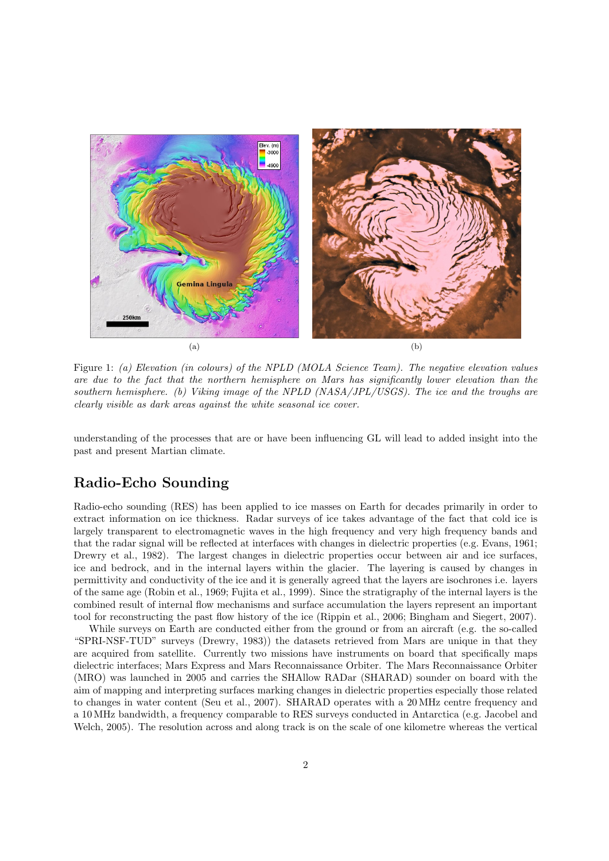

Figure 1: (a) Elevation (in colours) of the NPLD (MOLA Science Team). The negative elevation values are due to the fact that the northern hemisphere on Mars has significantly lower elevation than the southern hemisphere. (b) Viking image of the NPLD (NASA/JPL/USGS). The ice and the troughs are clearly visible as dark areas against the white seasonal ice cover.

understanding of the processes that are or have been influencing GL will lead to added insight into the past and present Martian climate.

# Radio-Echo Sounding

Radio-echo sounding (RES) has been applied to ice masses on Earth for decades primarily in order to extract information on ice thickness. Radar surveys of ice takes advantage of the fact that cold ice is largely transparent to electromagnetic waves in the high frequency and very high frequency bands and that the radar signal will be reflected at interfaces with changes in dielectric properties (e.g. Evans, 1961; Drewry et al., 1982). The largest changes in dielectric properties occur between air and ice surfaces, ice and bedrock, and in the internal layers within the glacier. The layering is caused by changes in permittivity and conductivity of the ice and it is generally agreed that the layers are isochrones i.e. layers of the same age (Robin et al., 1969; Fujita et al., 1999). Since the stratigraphy of the internal layers is the combined result of internal flow mechanisms and surface accumulation the layers represent an important tool for reconstructing the past flow history of the ice (Rippin et al., 2006; Bingham and Siegert, 2007).

While surveys on Earth are conducted either from the ground or from an aircraft (e.g. the so-called "SPRI-NSF-TUD" surveys (Drewry, 1983)) the datasets retrieved from Mars are unique in that they are acquired from satellite. Currently two missions have instruments on board that specifically maps dielectric interfaces; Mars Express and Mars Reconnaissance Orbiter. The Mars Reconnaissance Orbiter (MRO) was launched in 2005 and carries the SHAllow RADar (SHARAD) sounder on board with the aim of mapping and interpreting surfaces marking changes in dielectric properties especially those related to changes in water content (Seu et al., 2007). SHARAD operates with a 20 MHz centre frequency and a 10 MHz bandwidth, a frequency comparable to RES surveys conducted in Antarctica (e.g. Jacobel and Welch, 2005). The resolution across and along track is on the scale of one kilometre whereas the vertical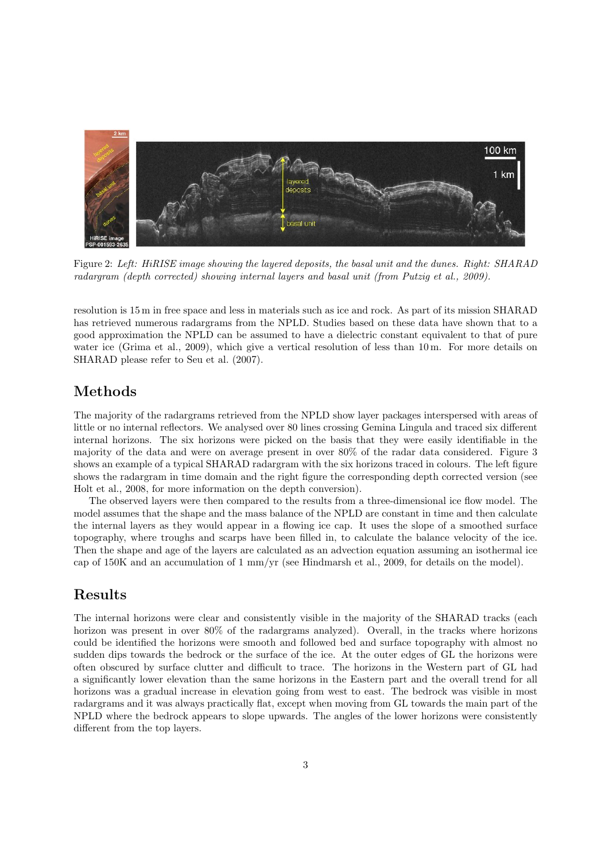

Figure 2: Left: HiRISE image showing the layered deposits, the basal unit and the dunes. Right: SHARAD radargram (depth corrected) showing internal layers and basal unit (from Putzig et al., 2009).

resolution is 15 m in free space and less in materials such as ice and rock. As part of its mission SHARAD has retrieved numerous radargrams from the NPLD. Studies based on these data have shown that to a good approximation the NPLD can be assumed to have a dielectric constant equivalent to that of pure water ice (Grima et al., 2009), which give a vertical resolution of less than 10 m. For more details on SHARAD please refer to Seu et al. (2007).

# Methods

The majority of the radargrams retrieved from the NPLD show layer packages interspersed with areas of little or no internal reflectors. We analysed over 80 lines crossing Gemina Lingula and traced six different internal horizons. The six horizons were picked on the basis that they were easily identifiable in the majority of the data and were on average present in over 80% of the radar data considered. Figure 3 shows an example of a typical SHARAD radargram with the six horizons traced in colours. The left figure shows the radargram in time domain and the right figure the corresponding depth corrected version (see Holt et al., 2008, for more information on the depth conversion).

The observed layers were then compared to the results from a three-dimensional ice flow model. The model assumes that the shape and the mass balance of the NPLD are constant in time and then calculate the internal layers as they would appear in a flowing ice cap. It uses the slope of a smoothed surface topography, where troughs and scarps have been filled in, to calculate the balance velocity of the ice. Then the shape and age of the layers are calculated as an advection equation assuming an isothermal ice cap of 150K and an accumulation of 1 mm/yr (see Hindmarsh et al., 2009, for details on the model).

## Results

The internal horizons were clear and consistently visible in the majority of the SHARAD tracks (each horizon was present in over  $80\%$  of the radargrams analyzed). Overall, in the tracks where horizons could be identified the horizons were smooth and followed bed and surface topography with almost no sudden dips towards the bedrock or the surface of the ice. At the outer edges of GL the horizons were often obscured by surface clutter and difficult to trace. The horizons in the Western part of GL had a significantly lower elevation than the same horizons in the Eastern part and the overall trend for all horizons was a gradual increase in elevation going from west to east. The bedrock was visible in most radargrams and it was always practically flat, except when moving from GL towards the main part of the NPLD where the bedrock appears to slope upwards. The angles of the lower horizons were consistently different from the top layers.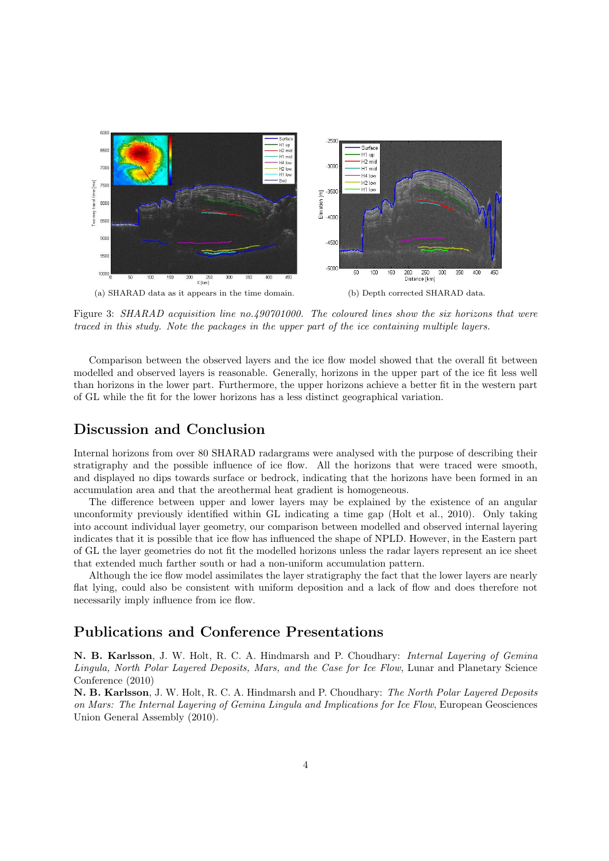

Figure 3: SHARAD acquisition line no.490701000. The coloured lines show the six horizons that were traced in this study. Note the packages in the upper part of the ice containing multiple layers.

Comparison between the observed layers and the ice flow model showed that the overall fit between modelled and observed layers is reasonable. Generally, horizons in the upper part of the ice fit less well than horizons in the lower part. Furthermore, the upper horizons achieve a better fit in the western part of GL while the fit for the lower horizons has a less distinct geographical variation.

## Discussion and Conclusion

Internal horizons from over 80 SHARAD radargrams were analysed with the purpose of describing their stratigraphy and the possible influence of ice flow. All the horizons that were traced were smooth, and displayed no dips towards surface or bedrock, indicating that the horizons have been formed in an accumulation area and that the areothermal heat gradient is homogeneous.

The difference between upper and lower layers may be explained by the existence of an angular unconformity previously identified within GL indicating a time gap (Holt et al., 2010). Only taking into account individual layer geometry, our comparison between modelled and observed internal layering indicates that it is possible that ice flow has influenced the shape of NPLD. However, in the Eastern part of GL the layer geometries do not fit the modelled horizons unless the radar layers represent an ice sheet that extended much farther south or had a non-uniform accumulation pattern.

Although the ice flow model assimilates the layer stratigraphy the fact that the lower layers are nearly flat lying, could also be consistent with uniform deposition and a lack of flow and does therefore not necessarily imply influence from ice flow.

## Publications and Conference Presentations

N. B. Karlsson, J. W. Holt, R. C. A. Hindmarsh and P. Choudhary: Internal Layering of Gemina Lingula, North Polar Layered Deposits, Mars, and the Case for Ice Flow, Lunar and Planetary Science Conference (2010)

N. B. Karlsson, J. W. Holt, R. C. A. Hindmarsh and P. Choudhary: The North Polar Layered Deposits on Mars: The Internal Layering of Gemina Lingula and Implications for Ice Flow, European Geosciences Union General Assembly (2010).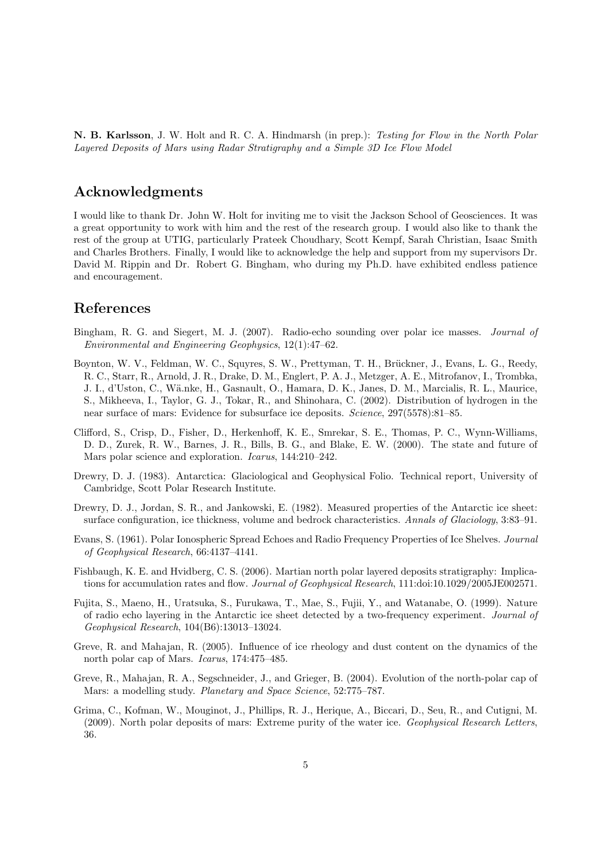N. B. Karlsson, J. W. Holt and R. C. A. Hindmarsh (in prep.): Testing for Flow in the North Polar Layered Deposits of Mars using Radar Stratigraphy and a Simple 3D Ice Flow Model

### Acknowledgments

I would like to thank Dr. John W. Holt for inviting me to visit the Jackson School of Geosciences. It was a great opportunity to work with him and the rest of the research group. I would also like to thank the rest of the group at UTIG, particularly Prateek Choudhary, Scott Kempf, Sarah Christian, Isaac Smith and Charles Brothers. Finally, I would like to acknowledge the help and support from my supervisors Dr. David M. Rippin and Dr. Robert G. Bingham, who during my Ph.D. have exhibited endless patience and encouragement.

## References

- Bingham, R. G. and Siegert, M. J. (2007). Radio-echo sounding over polar ice masses. Journal of Environmental and Engineering Geophysics, 12(1):47–62.
- Boynton, W. V., Feldman, W. C., Squyres, S. W., Prettyman, T. H., Brückner, J., Evans, L. G., Reedy, R. C., Starr, R., Arnold, J. R., Drake, D. M., Englert, P. A. J., Metzger, A. E., Mitrofanov, I., Trombka, J. I., d'Uston, C., Wä.nke, H., Gasnault, O., Hamara, D. K., Janes, D. M., Marcialis, R. L., Maurice, S., Mikheeva, I., Taylor, G. J., Tokar, R., and Shinohara, C. (2002). Distribution of hydrogen in the near surface of mars: Evidence for subsurface ice deposits. Science, 297(5578):81–85.
- Clifford, S., Crisp, D., Fisher, D., Herkenhoff, K. E., Smrekar, S. E., Thomas, P. C., Wynn-Williams, D. D., Zurek, R. W., Barnes, J. R., Bills, B. G., and Blake, E. W. (2000). The state and future of Mars polar science and exploration. *Icarus*, 144:210-242.
- Drewry, D. J. (1983). Antarctica: Glaciological and Geophysical Folio. Technical report, University of Cambridge, Scott Polar Research Institute.
- Drewry, D. J., Jordan, S. R., and Jankowski, E. (1982). Measured properties of the Antarctic ice sheet: surface configuration, ice thickness, volume and bedrock characteristics. Annals of Glaciology, 3:83–91.
- Evans, S. (1961). Polar Ionospheric Spread Echoes and Radio Frequency Properties of Ice Shelves. Journal of Geophysical Research, 66:4137–4141.
- Fishbaugh, K. E. and Hvidberg, C. S. (2006). Martian north polar layered deposits stratigraphy: Implications for accumulation rates and flow. Journal of Geophysical Research, 111:doi:10.1029/2005JE002571.
- Fujita, S., Maeno, H., Uratsuka, S., Furukawa, T., Mae, S., Fujii, Y., and Watanabe, O. (1999). Nature of radio echo layering in the Antarctic ice sheet detected by a two-frequency experiment. Journal of Geophysical Research, 104(B6):13013–13024.
- Greve, R. and Mahajan, R. (2005). Influence of ice rheology and dust content on the dynamics of the north polar cap of Mars. Icarus, 174:475–485.
- Greve, R., Mahajan, R. A., Segschneider, J., and Grieger, B. (2004). Evolution of the north-polar cap of Mars: a modelling study. Planetary and Space Science, 52:775–787.
- Grima, C., Kofman, W., Mouginot, J., Phillips, R. J., Herique, A., Biccari, D., Seu, R., and Cutigni, M. (2009). North polar deposits of mars: Extreme purity of the water ice. Geophysical Research Letters, 36.